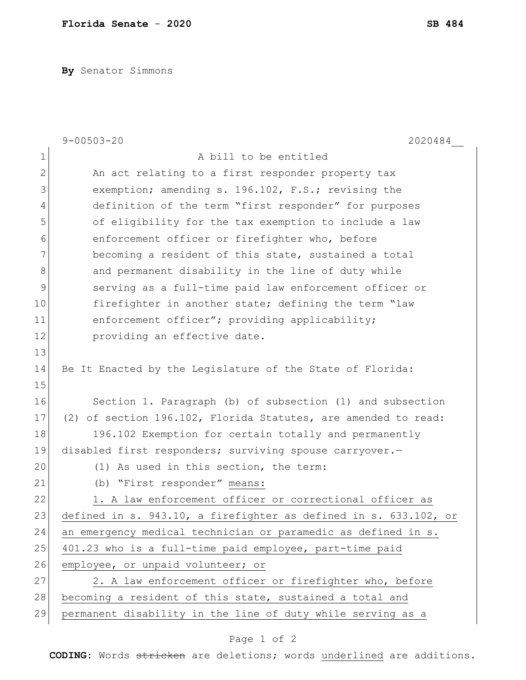**By** Senator Simmons

|              | $9 - 00503 - 20$<br>2020484                                      |
|--------------|------------------------------------------------------------------|
| $\mathbf 1$  | A bill to be entitled                                            |
| $\mathbf{2}$ | An act relating to a first responder property tax                |
| 3            | exemption; amending s. 196.102, F.S.; revising the               |
| 4            | definition of the term "first responder" for purposes            |
| 5            | of eligibility for the tax exemption to include a law            |
| 6            | enforcement officer or firefighter who, before                   |
| 7            | becoming a resident of this state, sustained a total             |
| 8            | and permanent disability in the line of duty while               |
| 9            | serving as a full-time paid law enforcement officer or           |
| 10           | firefighter in another state; defining the term "law             |
| 11           | enforcement officer"; providing applicability;                   |
| 12           | providing an effective date.                                     |
| 13           |                                                                  |
| 14           | Be It Enacted by the Legislature of the State of Florida:        |
| 15           |                                                                  |
| 16           | Section 1. Paragraph (b) of subsection (1) and subsection        |
| 17           | (2) of section 196.102, Florida Statutes, are amended to read:   |
| 18           | 196.102 Exemption for certain totally and permanently            |
| 19           | disabled first responders; surviving spouse carryover.-          |
| 20           | (1) As used in this section, the term:                           |
| 21           | (b) "First responder" means:                                     |
| 22           | 1. A law enforcement officer or correctional officer as          |
| 23           | defined in s. 943.10, a firefighter as defined in s. 633.102, or |
| 24           | an emergency medical technician or paramedic as defined in s.    |
| 25           | 401.23 who is a full-time paid employee, part-time paid          |
| 26           | employee, or unpaid volunteer; or                                |
| 27           | 2. A law enforcement officer or firefighter who, before          |
| 28           | becoming a resident of this state, sustained a total and         |
| 29           | permanent disability in the line of duty while serving as a      |

## Page 1 of 2

**CODING**: Words stricken are deletions; words underlined are additions.